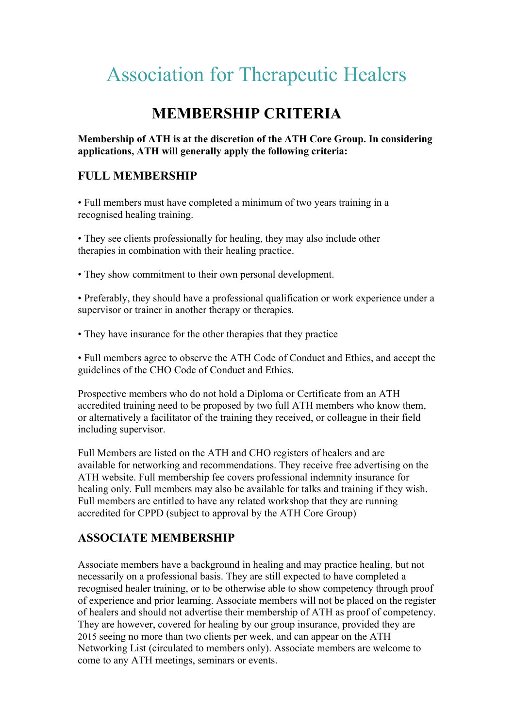# Association for Therapeutic Healers

# **MEMBERSHIP CRITERIA**

#### **Membership of ATH is at the discretion of the ATH Core Group. In considering applications, ATH will generally apply the following criteria:**

## **FULL MEMBERSHIP**

• Full members must have completed a minimum of two years training in a recognised healing training.

• They see clients professionally for healing, they may also include other therapies in combination with their healing practice.

• They show commitment to their own personal development.

• Preferably, they should have a professional qualification or work experience under a supervisor or trainer in another therapy or therapies.

• They have insurance for the other therapies that they practice

• Full members agree to observe the ATH Code of Conduct and Ethics, and accept the guidelines of the CHO Code of Conduct and Ethics.

Prospective members who do not hold a Diploma or Certificate from an ATH accredited training need to be proposed by two full ATH members who know them, or alternatively a facilitator of the training they received, or colleague in their field including supervisor.

Full Members are listed on the ATH and CHO registers of healers and are available for networking and recommendations. They receive free advertising on the ATH website. Full membership fee covers professional indemnity insurance for healing only. Full members may also be available for talks and training if they wish. Full members are entitled to have any related workshop that they are running accredited for CPPD (subject to approval by the ATH Core Group)

## **ASSOCIATE MEMBERSHIP**

Associate members have a background in healing and may practice healing, but not necessarily on a professional basis. They are still expected to have completed a recognised healer training, or to be otherwise able to show competency through proof of experience and prior learning. Associate members will not be placed on the register of healers and should not advertise their membership of ATH as proof of competency. They are however, covered for healing by our group insurance, provided they are 2015 seeing no more than two clients per week, and can appear on the ATH Networking List (circulated to members only). Associate members are welcome to come to any ATH meetings, seminars or events.